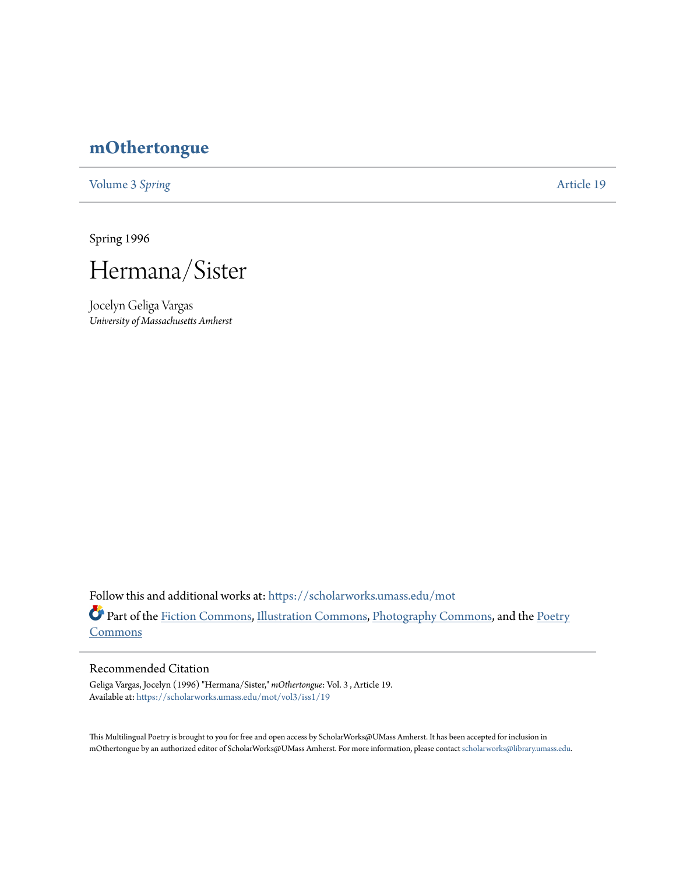## **[mOthertongue](https://scholarworks.umass.edu/mot?utm_source=scholarworks.umass.edu%2Fmot%2Fvol3%2Fiss1%2F19&utm_medium=PDF&utm_campaign=PDFCoverPages)**

[Volume 3](https://scholarworks.umass.edu/mot/vol3?utm_source=scholarworks.umass.edu%2Fmot%2Fvol3%2Fiss1%2F19&utm_medium=PDF&utm_campaign=PDFCoverPages) Spring **[Article 19](https://scholarworks.umass.edu/mot/vol3/iss1/19?utm_source=scholarworks.umass.edu%2Fmot%2Fvol3%2Fiss1%2F19&utm_medium=PDF&utm_campaign=PDFCoverPages)** 

Spring 1996



Jocelyn Geliga Vargas *University of Massachusetts Amherst*

Follow this and additional works at: [https://scholarworks.umass.edu/mot](https://scholarworks.umass.edu/mot?utm_source=scholarworks.umass.edu%2Fmot%2Fvol3%2Fiss1%2F19&utm_medium=PDF&utm_campaign=PDFCoverPages) Part of the [Fiction Commons](http://network.bepress.com/hgg/discipline/1151?utm_source=scholarworks.umass.edu%2Fmot%2Fvol3%2Fiss1%2F19&utm_medium=PDF&utm_campaign=PDFCoverPages), [Illustration Commons,](http://network.bepress.com/hgg/discipline/1135?utm_source=scholarworks.umass.edu%2Fmot%2Fvol3%2Fiss1%2F19&utm_medium=PDF&utm_campaign=PDFCoverPages) [Photography Commons,](http://network.bepress.com/hgg/discipline/1142?utm_source=scholarworks.umass.edu%2Fmot%2Fvol3%2Fiss1%2F19&utm_medium=PDF&utm_campaign=PDFCoverPages) and the [Poetry](http://network.bepress.com/hgg/discipline/1153?utm_source=scholarworks.umass.edu%2Fmot%2Fvol3%2Fiss1%2F19&utm_medium=PDF&utm_campaign=PDFCoverPages) **[Commons](http://network.bepress.com/hgg/discipline/1153?utm_source=scholarworks.umass.edu%2Fmot%2Fvol3%2Fiss1%2F19&utm_medium=PDF&utm_campaign=PDFCoverPages)** 

## Recommended Citation

Geliga Vargas, Jocelyn (1996) "Hermana/Sister," *mOthertongue*: Vol. 3 , Article 19. Available at: [https://scholarworks.umass.edu/mot/vol3/iss1/19](https://scholarworks.umass.edu/mot/vol3/iss1/19?utm_source=scholarworks.umass.edu%2Fmot%2Fvol3%2Fiss1%2F19&utm_medium=PDF&utm_campaign=PDFCoverPages)

This Multilingual Poetry is brought to you for free and open access by ScholarWorks@UMass Amherst. It has been accepted for inclusion in mOthertongue by an authorized editor of ScholarWorks@UMass Amherst. For more information, please contact [scholarworks@library.umass.edu](mailto:scholarworks@library.umass.edu).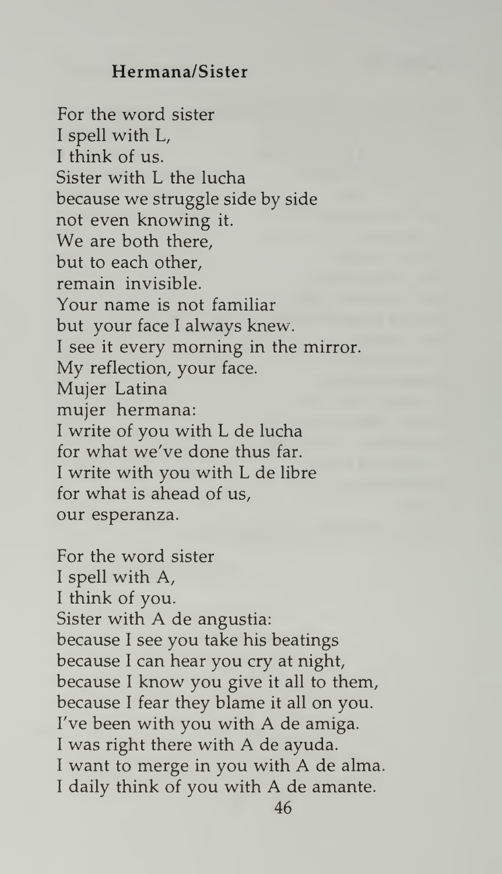## Hermana/Sister

For the word sister <sup>I</sup> spell with L, <sup>I</sup> think of us. Sister with L the lucha because we struggle side by side not even knowing it. We are both there, but to each other, remain invisible. Your name is not familiar but your face <sup>I</sup> always knew. <sup>I</sup> see it every morning in the mirror. My reflection, your face. Mujer Latina mujer hermana: <sup>I</sup> write of you with L de lucha for what we've done thus far. <sup>I</sup> write with you with L de libre for what is ahead of us, our esperanza.

For the word sister <sup>I</sup> spell with A, <sup>I</sup> think of you. Sister with A de angustia: because <sup>I</sup> see you take his beatings because <sup>I</sup> can hear you cry at night, because <sup>I</sup> know you give it all to them, because <sup>I</sup> fear they blame it all on you. I've been with you with A de amiga. <sup>I</sup> was right there with A de ayuda. <sup>I</sup> want to merge in you with A de alma. <sup>I</sup> daily think of you with A de amante.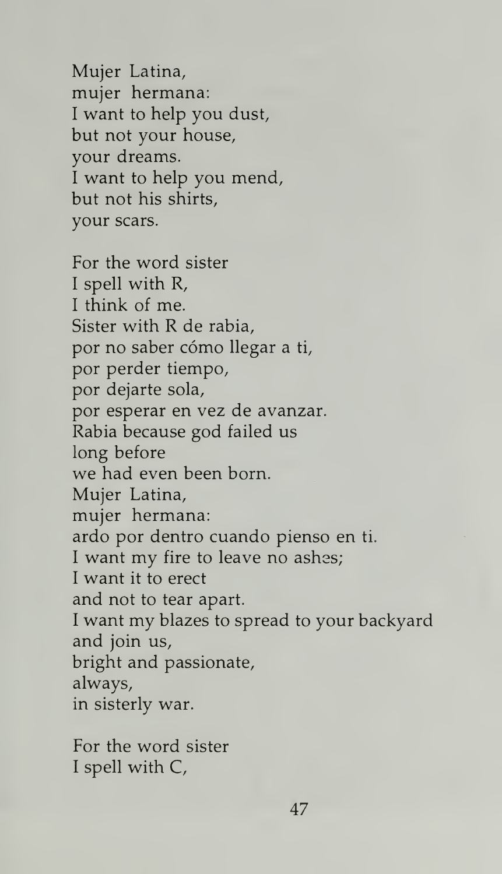Mujer Latina, mujer hermana: <sup>I</sup> want to help you dust, but not your house, your dreams. <sup>I</sup> want to help you mend, but not his shirts, your scars.

For the word sister <sup>I</sup> spell with R, <sup>I</sup> think of me. Sister with R de rabia, por no saber cómo llegar a ti, por perder tiempo, por dejarte sola, por esperar en vez de avanzar. Rabia because god failed us long before we had even been born. Mujer Latina, mujer hermana: ardo por dentro cuando pienso en ti. <sup>I</sup> want my fire to leave no ashes; <sup>I</sup> want it to erect and not to tear apart. <sup>I</sup> want my blazes to spread to your backyard and join us, bright and passionate, always, in sisterly war.

For the word sister <sup>I</sup> spell with C,